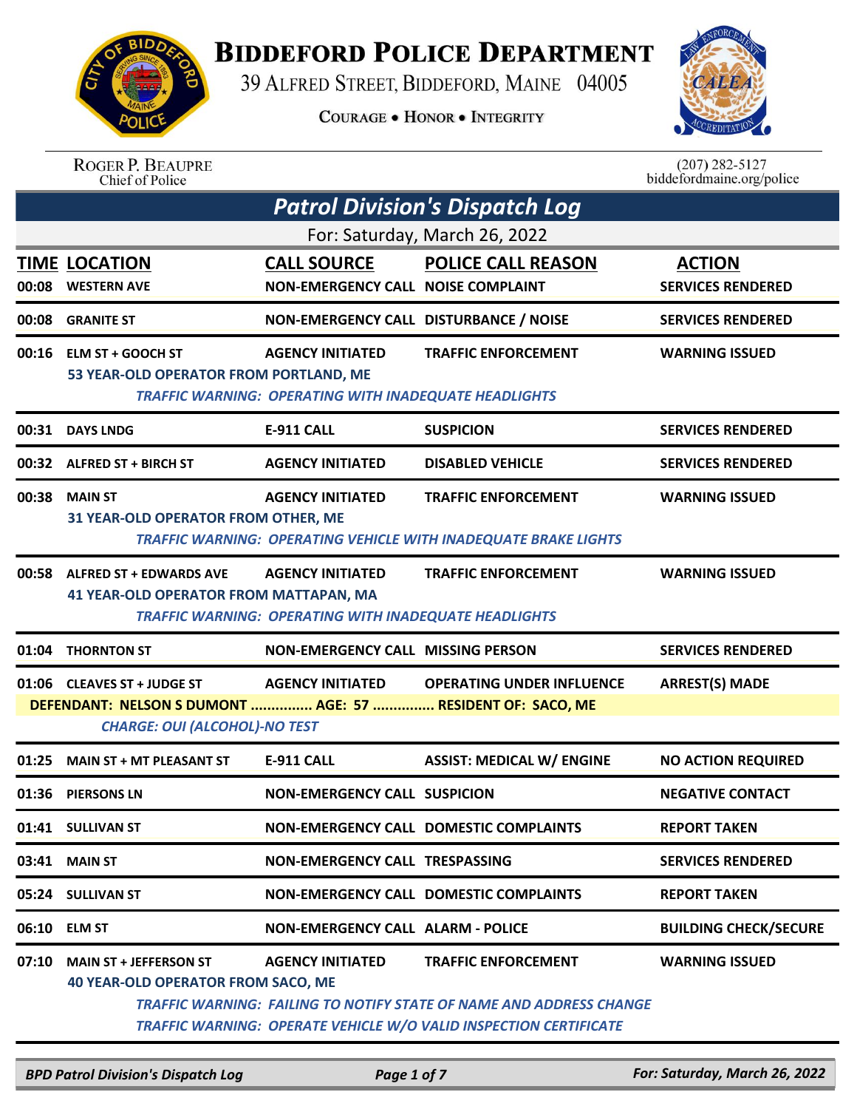

## **BIDDEFORD POLICE DEPARTMENT**

39 ALFRED STREET, BIDDEFORD, MAINE 04005

**COURAGE . HONOR . INTEGRITY** 



| <b>ROGER P. BEAUPRE</b> |
|-------------------------|
| Chief of Police         |

 $(207)$  282-5127<br>biddefordmaine.org/police

| <b>Patrol Division's Dispatch Log</b> |                                                                                                                                   |                                                                                         |                                                                                                                                                                                      |                                           |  |  |  |
|---------------------------------------|-----------------------------------------------------------------------------------------------------------------------------------|-----------------------------------------------------------------------------------------|--------------------------------------------------------------------------------------------------------------------------------------------------------------------------------------|-------------------------------------------|--|--|--|
|                                       | For: Saturday, March 26, 2022                                                                                                     |                                                                                         |                                                                                                                                                                                      |                                           |  |  |  |
| 00:08                                 | <b>TIME LOCATION</b><br><b>WESTERN AVE</b>                                                                                        | <b>CALL SOURCE</b><br><b>NON-EMERGENCY CALL NOISE COMPLAINT</b>                         | <b>POLICE CALL REASON</b>                                                                                                                                                            | <b>ACTION</b><br><b>SERVICES RENDERED</b> |  |  |  |
|                                       | 00:08 GRANITE ST                                                                                                                  | NON-EMERGENCY CALL DISTURBANCE / NOISE                                                  |                                                                                                                                                                                      | <b>SERVICES RENDERED</b>                  |  |  |  |
|                                       | 00:16 ELM ST + GOOCH ST<br>53 YEAR-OLD OPERATOR FROM PORTLAND, ME                                                                 | <b>AGENCY INITIATED</b><br><b>TRAFFIC WARNING: OPERATING WITH INADEQUATE HEADLIGHTS</b> | <b>TRAFFIC ENFORCEMENT</b>                                                                                                                                                           | <b>WARNING ISSUED</b>                     |  |  |  |
|                                       | 00:31 DAYS LNDG                                                                                                                   | <b>E-911 CALL</b>                                                                       | <b>SUSPICION</b>                                                                                                                                                                     | <b>SERVICES RENDERED</b>                  |  |  |  |
|                                       | 00:32 ALFRED ST + BIRCH ST                                                                                                        | <b>AGENCY INITIATED</b>                                                                 | <b>DISABLED VEHICLE</b>                                                                                                                                                              | <b>SERVICES RENDERED</b>                  |  |  |  |
|                                       | 00:38 MAIN ST<br>31 YEAR-OLD OPERATOR FROM OTHER, ME                                                                              | <b>AGENCY INITIATED</b>                                                                 | <b>TRAFFIC ENFORCEMENT</b><br><b>TRAFFIC WARNING: OPERATING VEHICLE WITH INADEQUATE BRAKE LIGHTS</b>                                                                                 | <b>WARNING ISSUED</b>                     |  |  |  |
|                                       | 00:58 ALFRED ST + EDWARDS AVE<br><b>41 YEAR-OLD OPERATOR FROM MATTAPAN, MA</b>                                                    | <b>AGENCY INITIATED</b><br><b>TRAFFIC WARNING: OPERATING WITH INADEQUATE HEADLIGHTS</b> | <b>TRAFFIC ENFORCEMENT</b>                                                                                                                                                           | <b>WARNING ISSUED</b>                     |  |  |  |
| 01:04                                 | <b>THORNTON ST</b>                                                                                                                | <b>NON-EMERGENCY CALL MISSING PERSON</b>                                                |                                                                                                                                                                                      | <b>SERVICES RENDERED</b>                  |  |  |  |
|                                       | 01:06 CLEAVES ST + JUDGE ST<br>DEFENDANT: NELSON S DUMONT  AGE: 57  RESIDENT OF: SACO, ME<br><b>CHARGE: OUI (ALCOHOL)-NO TEST</b> | <b>AGENCY INITIATED</b>                                                                 | <b>OPERATING UNDER INFLUENCE</b>                                                                                                                                                     | <b>ARREST(S) MADE</b>                     |  |  |  |
| 01:25                                 | <b>MAIN ST + MT PLEASANT ST</b>                                                                                                   | <b>E-911 CALL</b>                                                                       | <b>ASSIST: MEDICAL W/ ENGINE</b>                                                                                                                                                     | <b>NO ACTION REQUIRED</b>                 |  |  |  |
| 01:36                                 | <b>PIERSONS LN</b>                                                                                                                | <b>NON-EMERGENCY CALL SUSPICION</b>                                                     |                                                                                                                                                                                      | <b>NEGATIVE CONTACT</b>                   |  |  |  |
|                                       | 01:41 SULLIVAN ST                                                                                                                 |                                                                                         | <b>NON-EMERGENCY CALL DOMESTIC COMPLAINTS</b>                                                                                                                                        | <b>REPORT TAKEN</b>                       |  |  |  |
|                                       | 03:41 MAIN ST                                                                                                                     | <b>NON-EMERGENCY CALL TRESPASSING</b>                                                   |                                                                                                                                                                                      | <b>SERVICES RENDERED</b>                  |  |  |  |
|                                       | 05:24 SULLIVAN ST                                                                                                                 |                                                                                         | <b>NON-EMERGENCY CALL DOMESTIC COMPLAINTS</b>                                                                                                                                        | <b>REPORT TAKEN</b>                       |  |  |  |
|                                       | 06:10 ELM ST                                                                                                                      | <b>NON-EMERGENCY CALL ALARM - POLICE</b>                                                |                                                                                                                                                                                      | <b>BUILDING CHECK/SECURE</b>              |  |  |  |
| 07:10                                 | <b>MAIN ST + JEFFERSON ST</b><br><b>40 YEAR-OLD OPERATOR FROM SACO, ME</b>                                                        | <b>AGENCY INITIATED</b>                                                                 | <b>TRAFFIC ENFORCEMENT</b><br><b>TRAFFIC WARNING: FAILING TO NOTIFY STATE OF NAME AND ADDRESS CHANGE</b><br><b>TRAFFIC WARNING: OPERATE VEHICLE W/O VALID INSPECTION CERTIFICATE</b> | <b>WARNING ISSUED</b>                     |  |  |  |

*BPD Patrol Division's Dispatch Log Page 1 of 7 For: Saturday, March 26, 2022*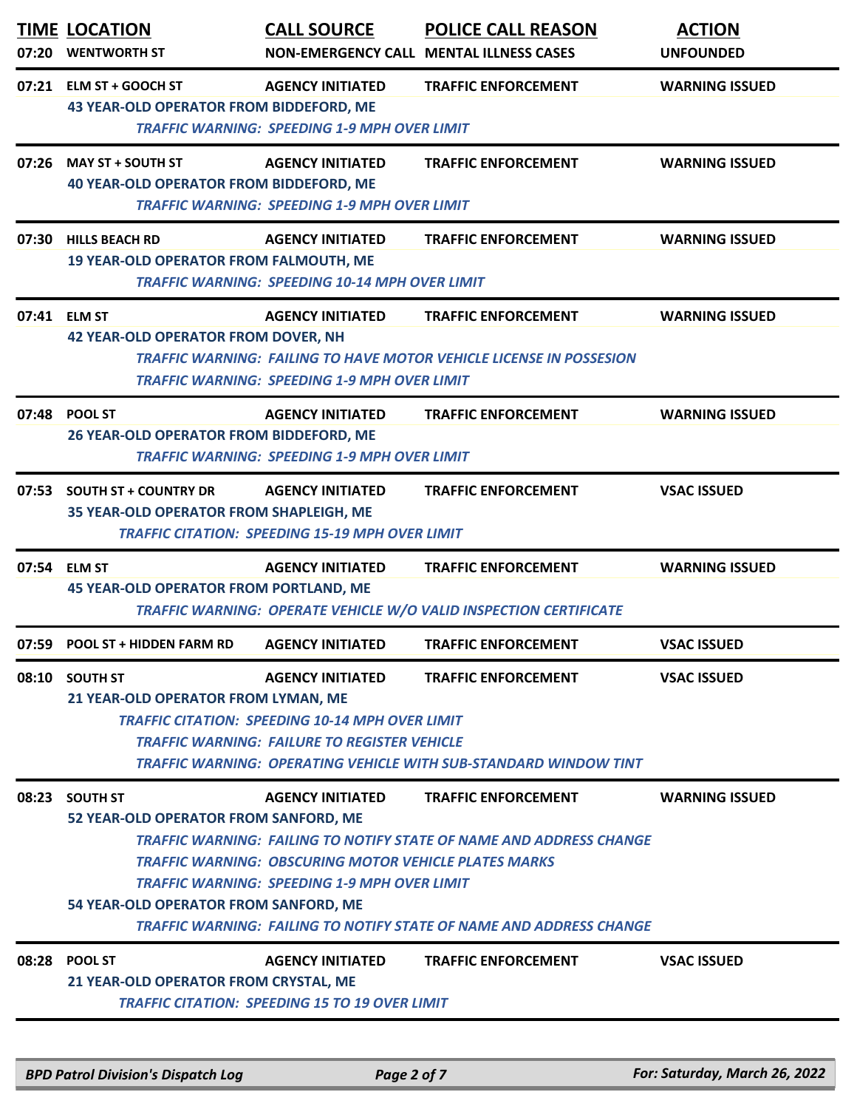|       | <b>TIME LOCATION</b><br>07:20 WENTWORTH ST                                                        | <b>CALL SOURCE</b>                                                                                                                             | <b>POLICE CALL REASON</b><br>NON-EMERGENCY CALL MENTAL ILLNESS CASES                                                                                                                   | <b>ACTION</b><br><b>UNFOUNDED</b> |
|-------|---------------------------------------------------------------------------------------------------|------------------------------------------------------------------------------------------------------------------------------------------------|----------------------------------------------------------------------------------------------------------------------------------------------------------------------------------------|-----------------------------------|
|       | 07:21 ELM ST + GOOCH ST<br><b>43 YEAR-OLD OPERATOR FROM BIDDEFORD, ME</b>                         | <b>AGENCY INITIATED</b><br><b>TRAFFIC WARNING: SPEEDING 1-9 MPH OVER LIMIT</b>                                                                 | <b>TRAFFIC ENFORCEMENT</b>                                                                                                                                                             | <b>WARNING ISSUED</b>             |
|       | 07:26 MAY ST + SOUTH ST<br><b>40 YEAR-OLD OPERATOR FROM BIDDEFORD, ME</b>                         | <b>AGENCY INITIATED</b><br><b>TRAFFIC WARNING: SPEEDING 1-9 MPH OVER LIMIT</b>                                                                 | <b>TRAFFIC ENFORCEMENT</b>                                                                                                                                                             | <b>WARNING ISSUED</b>             |
| 07:30 | <b>HILLS BEACH RD</b><br><b>19 YEAR-OLD OPERATOR FROM FALMOUTH, ME</b>                            | <b>AGENCY INITIATED</b><br><b>TRAFFIC WARNING: SPEEDING 10-14 MPH OVER LIMIT</b>                                                               | <b>TRAFFIC ENFORCEMENT</b>                                                                                                                                                             | <b>WARNING ISSUED</b>             |
|       | 07:41 ELM ST<br><b>42 YEAR-OLD OPERATOR FROM DOVER, NH</b>                                        | <b>AGENCY INITIATED</b><br><b>TRAFFIC WARNING: SPEEDING 1-9 MPH OVER LIMIT</b>                                                                 | <b>TRAFFIC ENFORCEMENT</b><br><b>TRAFFIC WARNING: FAILING TO HAVE MOTOR VEHICLE LICENSE IN POSSESION</b>                                                                               | <b>WARNING ISSUED</b>             |
|       | 07:48 POOL ST<br>26 YEAR-OLD OPERATOR FROM BIDDEFORD, ME                                          | <b>AGENCY INITIATED</b><br><b>TRAFFIC WARNING: SPEEDING 1-9 MPH OVER LIMIT</b>                                                                 | <b>TRAFFIC ENFORCEMENT</b>                                                                                                                                                             | <b>WARNING ISSUED</b>             |
| 07:53 | <b>SOUTH ST + COUNTRY DR</b><br>35 YEAR-OLD OPERATOR FROM SHAPLEIGH, ME                           | <b>AGENCY INITIATED</b><br><b>TRAFFIC CITATION: SPEEDING 15-19 MPH OVER LIMIT</b>                                                              | <b>TRAFFIC ENFORCEMENT</b>                                                                                                                                                             | <b>VSAC ISSUED</b>                |
|       | 07:54 ELM ST<br><b>45 YEAR-OLD OPERATOR FROM PORTLAND, ME</b>                                     | <b>AGENCY INITIATED</b>                                                                                                                        | <b>TRAFFIC ENFORCEMENT</b><br>TRAFFIC WARNING: OPERATE VEHICLE W/O VALID INSPECTION CERTIFICATE                                                                                        | <b>WARNING ISSUED</b>             |
|       | 07:59 POOL ST + HIDDEN FARM RD                                                                    | <b>AGENCY INITIATED</b>                                                                                                                        | <b>TRAFFIC ENFORCEMENT</b>                                                                                                                                                             | <b>VSAC ISSUED</b>                |
|       | 08:10 SOUTH ST<br>21 YEAR-OLD OPERATOR FROM LYMAN, ME                                             | <b>AGENCY INITIATED</b><br><b>TRAFFIC CITATION: SPEEDING 10-14 MPH OVER LIMIT</b><br><b>TRAFFIC WARNING: FAILURE TO REGISTER VEHICLE</b>       | <b>TRAFFIC ENFORCEMENT</b><br><b>TRAFFIC WARNING: OPERATING VEHICLE WITH SUB-STANDARD WINDOW TINT</b>                                                                                  | <b>VSAC ISSUED</b>                |
| 08:23 | <b>SOUTH ST</b><br>52 YEAR-OLD OPERATOR FROM SANFORD, ME<br>54 YEAR-OLD OPERATOR FROM SANFORD, ME | <b>AGENCY INITIATED</b><br><b>TRAFFIC WARNING: OBSCURING MOTOR VEHICLE PLATES MARKS</b><br><b>TRAFFIC WARNING: SPEEDING 1-9 MPH OVER LIMIT</b> | <b>TRAFFIC ENFORCEMENT</b><br><b>TRAFFIC WARNING: FAILING TO NOTIFY STATE OF NAME AND ADDRESS CHANGE</b><br><b>TRAFFIC WARNING: FAILING TO NOTIFY STATE OF NAME AND ADDRESS CHANGE</b> | <b>WARNING ISSUED</b>             |
|       | 08:28 POOL ST<br>21 YEAR-OLD OPERATOR FROM CRYSTAL, ME                                            | <b>AGENCY INITIATED</b><br><b>TRAFFIC CITATION: SPEEDING 15 TO 19 OVER LIMIT</b>                                                               | <b>TRAFFIC ENFORCEMENT</b>                                                                                                                                                             | <b>VSAC ISSUED</b>                |
|       | <b>BPD Patrol Division's Dispatch Log</b>                                                         | Page 2 of 7                                                                                                                                    |                                                                                                                                                                                        | For: Saturday, March 26, 2022     |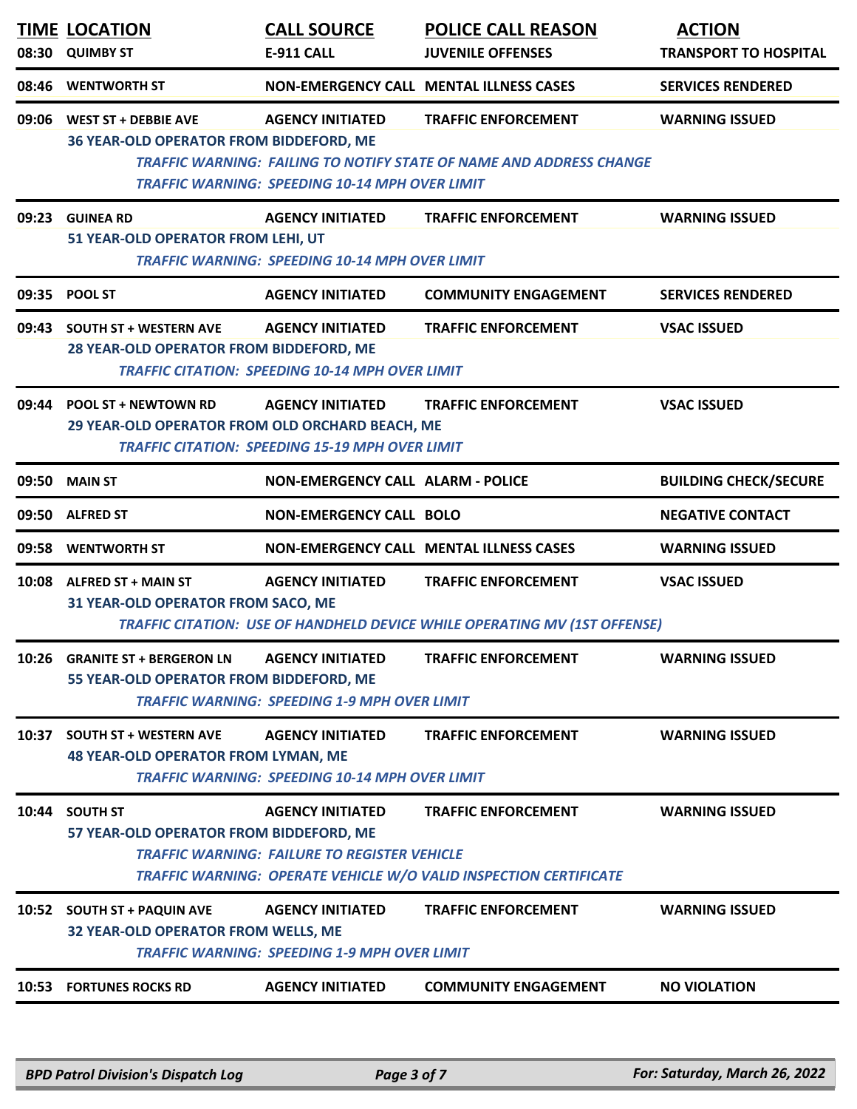| 08:46<br>09:06<br>09:23<br>09:35 | <b>WENTWORTH ST</b><br><b>WEST ST + DEBBIE AVE</b><br>36 YEAR-OLD OPERATOR FROM BIDDEFORD, ME<br><b>GUINEA RD</b><br>51 YEAR-OLD OPERATOR FROM LEHI, UT<br><b>POOL ST</b>                                              | <b>AGENCY INITIATED</b><br><b>TRAFFIC WARNING: SPEEDING 10-14 MPH OVER LIMIT</b><br><b>AGENCY INITIATED</b><br><b>TRAFFIC WARNING: SPEEDING 10-14 MPH OVER LIMIT</b> | <b>NON-EMERGENCY CALL MENTAL ILLNESS CASES</b><br><b>TRAFFIC ENFORCEMENT</b><br><b>TRAFFIC WARNING: FAILING TO NOTIFY STATE OF NAME AND ADDRESS CHANGE</b><br><b>TRAFFIC ENFORCEMENT</b> | <b>SERVICES RENDERED</b><br><b>WARNING ISSUED</b><br><b>WARNING ISSUED</b> |  |  |
|----------------------------------|------------------------------------------------------------------------------------------------------------------------------------------------------------------------------------------------------------------------|----------------------------------------------------------------------------------------------------------------------------------------------------------------------|------------------------------------------------------------------------------------------------------------------------------------------------------------------------------------------|----------------------------------------------------------------------------|--|--|
|                                  |                                                                                                                                                                                                                        |                                                                                                                                                                      |                                                                                                                                                                                          |                                                                            |  |  |
|                                  |                                                                                                                                                                                                                        |                                                                                                                                                                      |                                                                                                                                                                                          |                                                                            |  |  |
|                                  |                                                                                                                                                                                                                        |                                                                                                                                                                      |                                                                                                                                                                                          |                                                                            |  |  |
|                                  |                                                                                                                                                                                                                        | <b>AGENCY INITIATED</b>                                                                                                                                              | <b>COMMUNITY ENGAGEMENT</b>                                                                                                                                                              | <b>SERVICES RENDERED</b>                                                   |  |  |
| 09:43                            | <b>SOUTH ST + WESTERN AVE</b><br>28 YEAR-OLD OPERATOR FROM BIDDEFORD, ME                                                                                                                                               | <b>AGENCY INITIATED</b><br><b>TRAFFIC CITATION: SPEEDING 10-14 MPH OVER LIMIT</b>                                                                                    | <b>TRAFFIC ENFORCEMENT</b>                                                                                                                                                               | <b>VSAC ISSUED</b>                                                         |  |  |
| 09:44                            | <b>POOL ST + NEWTOWN RD</b><br>29 YEAR-OLD OPERATOR FROM OLD ORCHARD BEACH, ME                                                                                                                                         | <b>AGENCY INITIATED</b><br><b>TRAFFIC CITATION: SPEEDING 15-19 MPH OVER LIMIT</b>                                                                                    | <b>TRAFFIC ENFORCEMENT</b>                                                                                                                                                               | <b>VSAC ISSUED</b>                                                         |  |  |
| 09:50                            | <b>MAIN ST</b>                                                                                                                                                                                                         | <b>NON-EMERGENCY CALL ALARM - POLICE</b>                                                                                                                             |                                                                                                                                                                                          | <b>BUILDING CHECK/SECURE</b>                                               |  |  |
| 09:50                            | <b>ALFRED ST</b>                                                                                                                                                                                                       | <b>NON-EMERGENCY CALL BOLO</b>                                                                                                                                       |                                                                                                                                                                                          | <b>NEGATIVE CONTACT</b>                                                    |  |  |
| 09:58                            | <b>WENTWORTH ST</b>                                                                                                                                                                                                    |                                                                                                                                                                      | NON-EMERGENCY CALL MENTAL ILLNESS CASES                                                                                                                                                  | <b>WARNING ISSUED</b>                                                      |  |  |
|                                  | 10:08 ALFRED ST + MAIN ST<br>31 YEAR-OLD OPERATOR FROM SACO, ME                                                                                                                                                        | <b>AGENCY INITIATED</b>                                                                                                                                              | <b>TRAFFIC ENFORCEMENT</b><br><b>TRAFFIC CITATION: USE OF HANDHELD DEVICE WHILE OPERATING MV (1ST OFFENSE)</b>                                                                           | <b>VSAC ISSUED</b>                                                         |  |  |
|                                  | 10:26 GRANITE ST + BERGERON LN<br>55 YEAR-OLD OPERATOR FROM BIDDEFORD, ME                                                                                                                                              | <b>AGENCY INITIATED</b><br><b>TRAFFIC WARNING: SPEEDING 1-9 MPH OVER LIMIT</b>                                                                                       | <b>TRAFFIC ENFORCEMENT</b>                                                                                                                                                               | <b>WARNING ISSUED</b>                                                      |  |  |
| 10:37                            | <b>AGENCY INITIATED</b><br><b>TRAFFIC ENFORCEMENT</b><br><b>WARNING ISSUED</b><br><b>SOUTH ST + WESTERN AVE</b><br><b>48 YEAR-OLD OPERATOR FROM LYMAN, ME</b><br><b>TRAFFIC WARNING: SPEEDING 10-14 MPH OVER LIMIT</b> |                                                                                                                                                                      |                                                                                                                                                                                          |                                                                            |  |  |
| 10:44 SOUTH ST                   | 57 YEAR-OLD OPERATOR FROM BIDDEFORD, ME                                                                                                                                                                                | <b>AGENCY INITIATED</b><br><b>TRAFFIC WARNING: FAILURE TO REGISTER VEHICLE</b>                                                                                       | <b>TRAFFIC ENFORCEMENT</b><br>TRAFFIC WARNING: OPERATE VEHICLE W/O VALID INSPECTION CERTIFICATE                                                                                          | <b>WARNING ISSUED</b>                                                      |  |  |
|                                  | 10:52 SOUTH ST + PAQUIN AVE<br>32 YEAR-OLD OPERATOR FROM WELLS, ME                                                                                                                                                     | <b>AGENCY INITIATED</b><br><b>TRAFFIC WARNING: SPEEDING 1-9 MPH OVER LIMIT</b>                                                                                       | <b>TRAFFIC ENFORCEMENT</b>                                                                                                                                                               | <b>WARNING ISSUED</b>                                                      |  |  |
|                                  | <b>10:53 FORTUNES ROCKS RD</b>                                                                                                                                                                                         | <b>AGENCY INITIATED</b>                                                                                                                                              | <b>COMMUNITY ENGAGEMENT</b>                                                                                                                                                              | <b>NO VIOLATION</b>                                                        |  |  |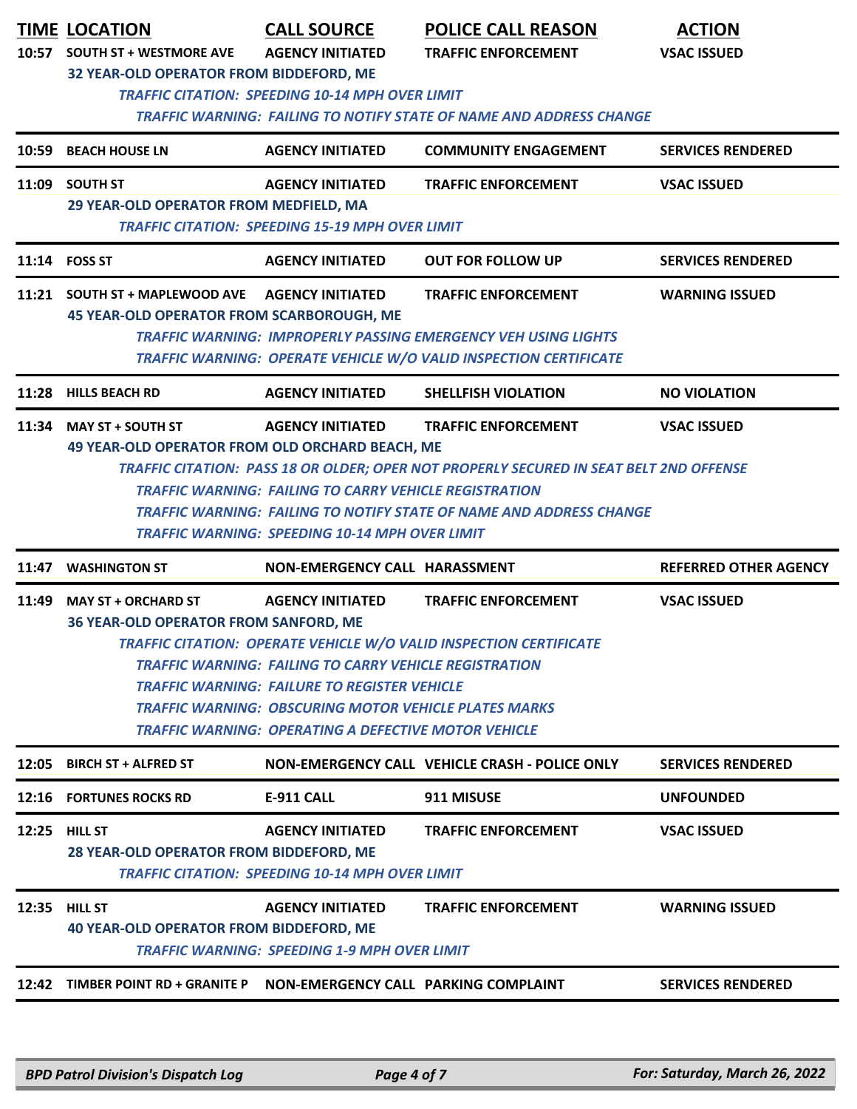|       | <b>TIME LOCATION</b><br>10:57 SOUTH ST + WESTMORE AVE                              | <b>CALL SOURCE</b><br><b>AGENCY INITIATED</b>                                                                                                                                                                                                                                  | <b>POLICE CALL REASON</b><br><b>TRAFFIC ENFORCEMENT</b>                                                                                                                  | <b>ACTION</b><br><b>VSAC ISSUED</b> |
|-------|------------------------------------------------------------------------------------|--------------------------------------------------------------------------------------------------------------------------------------------------------------------------------------------------------------------------------------------------------------------------------|--------------------------------------------------------------------------------------------------------------------------------------------------------------------------|-------------------------------------|
|       | 32 YEAR-OLD OPERATOR FROM BIDDEFORD, ME                                            | <b>TRAFFIC CITATION: SPEEDING 10-14 MPH OVER LIMIT</b>                                                                                                                                                                                                                         | TRAFFIC WARNING: FAILING TO NOTIFY STATE OF NAME AND ADDRESS CHANGE                                                                                                      |                                     |
|       | 10:59 BEACH HOUSE LN                                                               | <b>AGENCY INITIATED</b>                                                                                                                                                                                                                                                        | <b>COMMUNITY ENGAGEMENT</b>                                                                                                                                              | <b>SERVICES RENDERED</b>            |
|       | 11:09 SOUTH ST<br>29 YEAR-OLD OPERATOR FROM MEDFIELD, MA                           | <b>AGENCY INITIATED</b><br><b>TRAFFIC CITATION: SPEEDING 15-19 MPH OVER LIMIT</b>                                                                                                                                                                                              | <b>TRAFFIC ENFORCEMENT</b>                                                                                                                                               | <b>VSAC ISSUED</b>                  |
|       | 11:14 FOSS ST                                                                      | <b>AGENCY INITIATED</b>                                                                                                                                                                                                                                                        | <b>OUT FOR FOLLOW UP</b>                                                                                                                                                 | <b>SERVICES RENDERED</b>            |
|       | 11:21 SOUTH ST + MAPLEWOOD AVE<br><b>45 YEAR-OLD OPERATOR FROM SCARBOROUGH, ME</b> | <b>AGENCY INITIATED</b>                                                                                                                                                                                                                                                        | <b>TRAFFIC ENFORCEMENT</b><br><b>TRAFFIC WARNING: IMPROPERLY PASSING EMERGENCY VEH USING LIGHTS</b><br>TRAFFIC WARNING: OPERATE VEHICLE W/O VALID INSPECTION CERTIFICATE | <b>WARNING ISSUED</b>               |
| 11:28 | <b>HILLS BEACH RD</b>                                                              | <b>AGENCY INITIATED</b>                                                                                                                                                                                                                                                        | <b>SHELLFISH VIOLATION</b>                                                                                                                                               | <b>NO VIOLATION</b>                 |
|       | 49 YEAR-OLD OPERATOR FROM OLD ORCHARD BEACH, ME                                    |                                                                                                                                                                                                                                                                                | TRAFFIC CITATION: PASS 18 OR OLDER; OPER NOT PROPERLY SECURED IN SEAT BELT 2ND OFFENSE                                                                                   |                                     |
|       |                                                                                    | <b>TRAFFIC WARNING: FAILING TO CARRY VEHICLE REGISTRATION</b><br><b>TRAFFIC WARNING: SPEEDING 10-14 MPH OVER LIMIT</b>                                                                                                                                                         | <b>TRAFFIC WARNING: FAILING TO NOTIFY STATE OF NAME AND ADDRESS CHANGE</b>                                                                                               |                                     |
|       | 11:47 WASHINGTON ST                                                                | NON-EMERGENCY CALL HARASSMENT                                                                                                                                                                                                                                                  |                                                                                                                                                                          | <b>REFERRED OTHER AGENCY</b>        |
|       | <b>MAY ST + ORCHARD ST</b><br><b>36 YEAR-OLD OPERATOR FROM SANFORD, ME</b>         | <b>AGENCY INITIATED</b><br><b>TRAFFIC WARNING: FAILING TO CARRY VEHICLE REGISTRATION</b><br><b>TRAFFIC WARNING: FAILURE TO REGISTER VEHICLE</b><br><b>TRAFFIC WARNING: OBSCURING MOTOR VEHICLE PLATES MARKS</b><br><b>TRAFFIC WARNING: OPERATING A DEFECTIVE MOTOR VEHICLE</b> | <b>TRAFFIC ENFORCEMENT</b><br><b>TRAFFIC CITATION: OPERATE VEHICLE W/O VALID INSPECTION CERTIFICATE</b>                                                                  | <b>VSAC ISSUED</b>                  |
|       | 12:05 BIRCH ST + ALFRED ST                                                         |                                                                                                                                                                                                                                                                                | NON-EMERGENCY CALL VEHICLE CRASH - POLICE ONLY                                                                                                                           | <b>SERVICES RENDERED</b>            |
|       | 12:16 FORTUNES ROCKS RD                                                            | <b>E-911 CALL</b>                                                                                                                                                                                                                                                              | 911 MISUSE                                                                                                                                                               | <b>UNFOUNDED</b>                    |
| 11:49 | 12:25 HILL ST<br><b>28 YEAR-OLD OPERATOR FROM BIDDEFORD, ME</b>                    | <b>AGENCY INITIATED</b><br><b>TRAFFIC CITATION: SPEEDING 10-14 MPH OVER LIMIT</b>                                                                                                                                                                                              | <b>TRAFFIC ENFORCEMENT</b>                                                                                                                                               | <b>VSAC ISSUED</b>                  |
|       | <b>12:35 HILL ST</b><br><b>40 YEAR-OLD OPERATOR FROM BIDDEFORD, ME</b>             | <b>AGENCY INITIATED</b><br><b>TRAFFIC WARNING: SPEEDING 1-9 MPH OVER LIMIT</b>                                                                                                                                                                                                 | <b>TRAFFIC ENFORCEMENT</b>                                                                                                                                               | <b>WARNING ISSUED</b>               |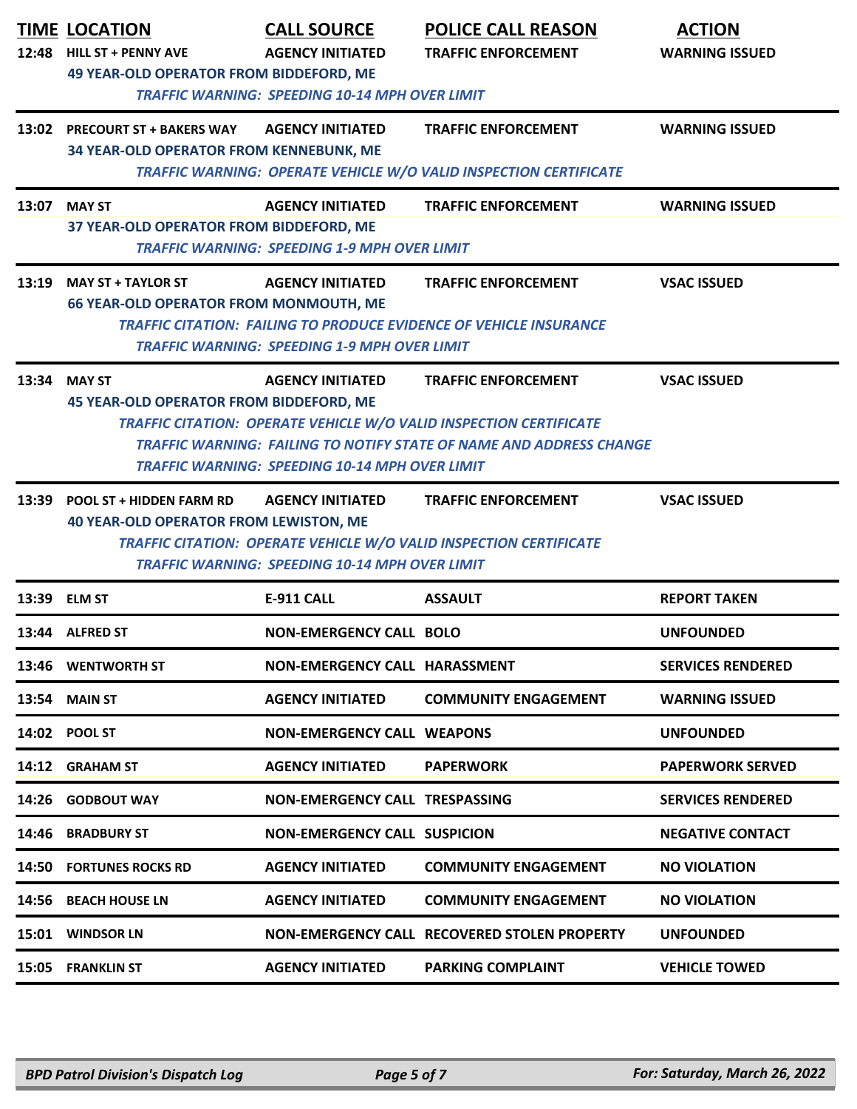| 12:48 | <b>TIME LOCATION</b><br><b>HILL ST + PENNY AVE</b>                                                      | <b>CALL SOURCE</b><br><b>AGENCY INITIATED</b>                                  | <b>POLICE CALL REASON</b><br><b>TRAFFIC ENFORCEMENT</b>                                                                                          | <b>ACTION</b><br><b>WARNING ISSUED</b> |  |  |  |
|-------|---------------------------------------------------------------------------------------------------------|--------------------------------------------------------------------------------|--------------------------------------------------------------------------------------------------------------------------------------------------|----------------------------------------|--|--|--|
|       | <b>49 YEAR-OLD OPERATOR FROM BIDDEFORD, ME</b><br><b>TRAFFIC WARNING: SPEEDING 10-14 MPH OVER LIMIT</b> |                                                                                |                                                                                                                                                  |                                        |  |  |  |
|       | 13:02 PRECOURT ST + BAKERS WAY<br>34 YEAR-OLD OPERATOR FROM KENNEBUNK, ME                               | <b>AGENCY INITIATED</b>                                                        | <b>TRAFFIC ENFORCEMENT</b>                                                                                                                       | <b>WARNING ISSUED</b>                  |  |  |  |
|       | <b>TRAFFIC WARNING: OPERATE VEHICLE W/O VALID INSPECTION CERTIFICATE</b>                                |                                                                                |                                                                                                                                                  |                                        |  |  |  |
|       | 13:07 MAY ST<br>37 YEAR-OLD OPERATOR FROM BIDDEFORD, ME                                                 | <b>AGENCY INITIATED</b><br><b>TRAFFIC WARNING: SPEEDING 1-9 MPH OVER LIMIT</b> | <b>TRAFFIC ENFORCEMENT</b>                                                                                                                       | <b>WARNING ISSUED</b>                  |  |  |  |
|       | 13:19 MAY ST + TAYLOR ST                                                                                | <b>AGENCY INITIATED</b>                                                        | <b>TRAFFIC ENFORCEMENT</b>                                                                                                                       | <b>VSAC ISSUED</b>                     |  |  |  |
|       | <b>66 YEAR-OLD OPERATOR FROM MONMOUTH, ME</b>                                                           | <b>TRAFFIC WARNING: SPEEDING 1-9 MPH OVER LIMIT</b>                            | <b>TRAFFIC CITATION: FAILING TO PRODUCE EVIDENCE OF VEHICLE INSURANCE</b>                                                                        |                                        |  |  |  |
|       | 13:34 MAY ST                                                                                            | <b>AGENCY INITIATED</b>                                                        | <b>TRAFFIC ENFORCEMENT</b>                                                                                                                       | <b>VSAC ISSUED</b>                     |  |  |  |
|       | <b>45 YEAR-OLD OPERATOR FROM BIDDEFORD, ME</b>                                                          | <b>TRAFFIC WARNING: SPEEDING 10-14 MPH OVER LIMIT</b>                          | TRAFFIC CITATION: OPERATE VEHICLE W/O VALID INSPECTION CERTIFICATE<br><b>TRAFFIC WARNING: FAILING TO NOTIFY STATE OF NAME AND ADDRESS CHANGE</b> |                                        |  |  |  |
|       | 13:39 POOL ST + HIDDEN FARM RD                                                                          | <b>AGENCY INITIATED</b>                                                        | <b>TRAFFIC ENFORCEMENT</b>                                                                                                                       | <b>VSAC ISSUED</b>                     |  |  |  |
|       | <b>40 YEAR-OLD OPERATOR FROM LEWISTON, ME</b>                                                           | <b>TRAFFIC WARNING: SPEEDING 10-14 MPH OVER LIMIT</b>                          | <b>TRAFFIC CITATION: OPERATE VEHICLE W/O VALID INSPECTION CERTIFICATE</b>                                                                        |                                        |  |  |  |
|       | 13:39 ELM ST                                                                                            | <b>E-911 CALL</b>                                                              | <b>ASSAULT</b>                                                                                                                                   | <b>REPORT TAKEN</b>                    |  |  |  |
|       | 13:44 ALFRED ST                                                                                         | <b>NON-EMERGENCY CALL BOLO</b>                                                 |                                                                                                                                                  | <b>UNFOUNDED</b>                       |  |  |  |
|       | 13:46 WENTWORTH ST                                                                                      | NON-EMERGENCY CALL HARASSMENT                                                  |                                                                                                                                                  | <b>SERVICES RENDERED</b>               |  |  |  |
| 13:54 | <b>MAIN ST</b>                                                                                          | <b>AGENCY INITIATED</b>                                                        | <b>COMMUNITY ENGAGEMENT</b>                                                                                                                      | <b>WARNING ISSUED</b>                  |  |  |  |
|       | 14:02 POOL ST                                                                                           | <b>NON-EMERGENCY CALL WEAPONS</b>                                              |                                                                                                                                                  | <b>UNFOUNDED</b>                       |  |  |  |
|       | 14:12 GRAHAM ST                                                                                         | <b>AGENCY INITIATED</b>                                                        | <b>PAPERWORK</b>                                                                                                                                 | <b>PAPERWORK SERVED</b>                |  |  |  |
|       | 14:26 GODBOUT WAY                                                                                       | NON-EMERGENCY CALL TRESPASSING                                                 |                                                                                                                                                  | <b>SERVICES RENDERED</b>               |  |  |  |
| 14:46 | <b>BRADBURY ST</b>                                                                                      | <b>NON-EMERGENCY CALL SUSPICION</b>                                            |                                                                                                                                                  | <b>NEGATIVE CONTACT</b>                |  |  |  |
| 14:50 | <b>FORTUNES ROCKS RD</b>                                                                                | <b>AGENCY INITIATED</b>                                                        | <b>COMMUNITY ENGAGEMENT</b>                                                                                                                      | <b>NO VIOLATION</b>                    |  |  |  |
| 14:56 | <b>BEACH HOUSE LN</b>                                                                                   | <b>AGENCY INITIATED</b>                                                        | <b>COMMUNITY ENGAGEMENT</b>                                                                                                                      | <b>NO VIOLATION</b>                    |  |  |  |
|       | 15:01 WINDSOR LN                                                                                        |                                                                                | NON-EMERGENCY CALL RECOVERED STOLEN PROPERTY                                                                                                     | <b>UNFOUNDED</b>                       |  |  |  |
|       | 15:05 FRANKLIN ST                                                                                       | <b>AGENCY INITIATED</b>                                                        | <b>PARKING COMPLAINT</b>                                                                                                                         | <b>VEHICLE TOWED</b>                   |  |  |  |
|       |                                                                                                         |                                                                                |                                                                                                                                                  |                                        |  |  |  |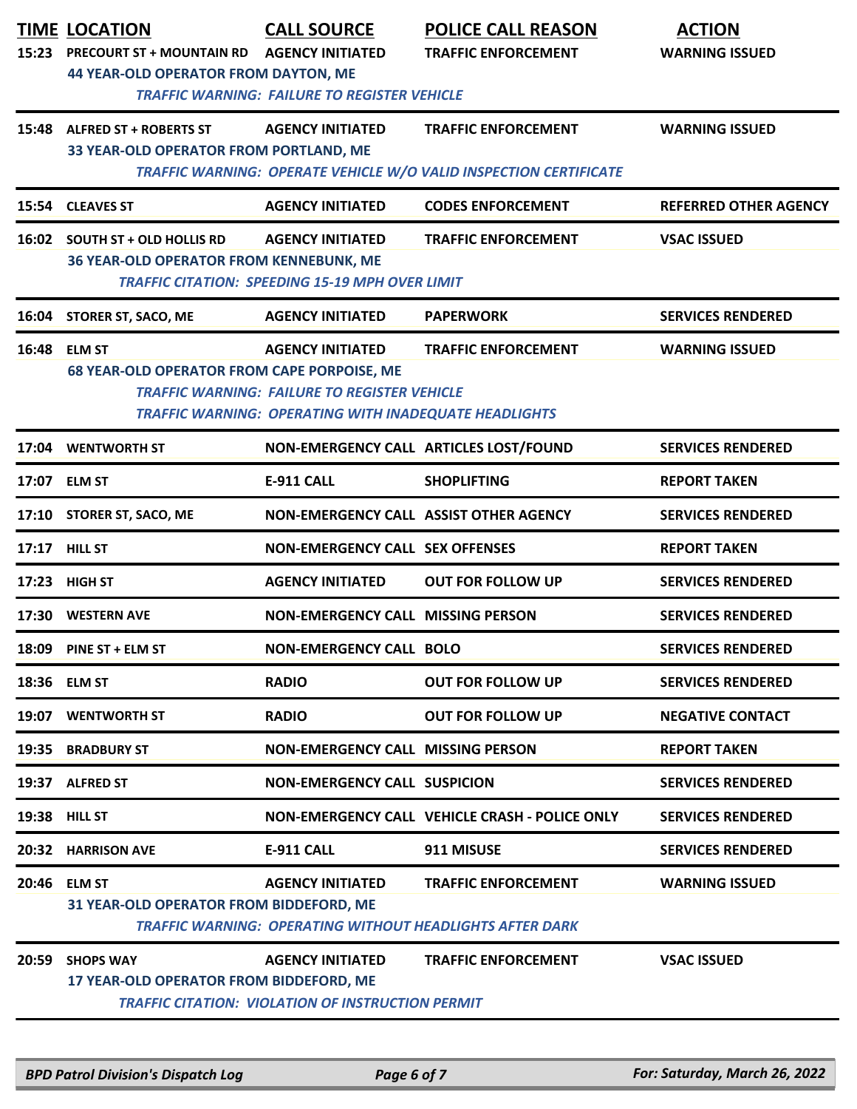| 15:23 | <b>TIME LOCATION</b><br><b>PRECOURT ST + MOUNTAIN RD</b><br><b>44 YEAR-OLD OPERATOR FROM DAYTON, ME</b> | <b>CALL SOURCE</b><br><b>AGENCY INITIATED</b><br><b>TRAFFIC WARNING: FAILURE TO REGISTER VEHICLE</b>                                           | <b>POLICE CALL REASON</b><br><b>TRAFFIC ENFORCEMENT</b>                                         | <b>ACTION</b><br><b>WARNING ISSUED</b> |
|-------|---------------------------------------------------------------------------------------------------------|------------------------------------------------------------------------------------------------------------------------------------------------|-------------------------------------------------------------------------------------------------|----------------------------------------|
| 15:48 | <b>ALFRED ST + ROBERTS ST</b><br>33 YEAR-OLD OPERATOR FROM PORTLAND, ME                                 | <b>AGENCY INITIATED</b>                                                                                                                        | <b>TRAFFIC ENFORCEMENT</b><br>TRAFFIC WARNING: OPERATE VEHICLE W/O VALID INSPECTION CERTIFICATE | <b>WARNING ISSUED</b>                  |
| 15:54 | <b>CLEAVES ST</b>                                                                                       | <b>AGENCY INITIATED</b>                                                                                                                        | <b>CODES ENFORCEMENT</b>                                                                        | <b>REFERRED OTHER AGENCY</b>           |
|       | 16:02 SOUTH ST + OLD HOLLIS RD<br><b>36 YEAR-OLD OPERATOR FROM KENNEBUNK, ME</b>                        | <b>AGENCY INITIATED</b><br><b>TRAFFIC CITATION: SPEEDING 15-19 MPH OVER LIMIT</b>                                                              | <b>TRAFFIC ENFORCEMENT</b>                                                                      | <b>VSAC ISSUED</b>                     |
|       | 16:04 STORER ST, SACO, ME                                                                               | <b>AGENCY INITIATED</b>                                                                                                                        | <b>PAPERWORK</b>                                                                                | <b>SERVICES RENDERED</b>               |
|       | 16:48 ELM ST<br><b>68 YEAR-OLD OPERATOR FROM CAPE PORPOISE, ME</b>                                      | <b>AGENCY INITIATED</b><br><b>TRAFFIC WARNING: FAILURE TO REGISTER VEHICLE</b><br><b>TRAFFIC WARNING: OPERATING WITH INADEQUATE HEADLIGHTS</b> | <b>TRAFFIC ENFORCEMENT</b>                                                                      | <b>WARNING ISSUED</b>                  |
|       | 17:04 WENTWORTH ST                                                                                      |                                                                                                                                                | NON-EMERGENCY CALL ARTICLES LOST/FOUND                                                          | <b>SERVICES RENDERED</b>               |
|       | 17:07 ELM ST                                                                                            | <b>E-911 CALL</b>                                                                                                                              | <b>SHOPLIFTING</b>                                                                              | <b>REPORT TAKEN</b>                    |
| 17:10 | STORER ST, SACO, ME                                                                                     |                                                                                                                                                | NON-EMERGENCY CALL ASSIST OTHER AGENCY                                                          | <b>SERVICES RENDERED</b>               |
|       | 17:17 HILL ST                                                                                           | <b>NON-EMERGENCY CALL SEX OFFENSES</b>                                                                                                         |                                                                                                 | <b>REPORT TAKEN</b>                    |
|       | 17:23 HIGH ST                                                                                           | <b>AGENCY INITIATED</b>                                                                                                                        | <b>OUT FOR FOLLOW UP</b>                                                                        | <b>SERVICES RENDERED</b>               |
| 17:30 | <b>WESTERN AVE</b>                                                                                      | <b>NON-EMERGENCY CALL MISSING PERSON</b>                                                                                                       |                                                                                                 | <b>SERVICES RENDERED</b>               |
|       | 18:09 PINE ST + ELM ST                                                                                  | <b>NON-EMERGENCY CALL BOLO</b>                                                                                                                 |                                                                                                 | <b>SERVICES RENDERED</b>               |
| 18:36 | <b>ELM ST</b>                                                                                           | <b>RADIO</b>                                                                                                                                   | <b>OUT FOR FOLLOW UP</b>                                                                        | <b>SERVICES RENDERED</b>               |
| 19:07 | <b>WENTWORTH ST</b>                                                                                     | <b>RADIO</b>                                                                                                                                   | <b>OUT FOR FOLLOW UP</b>                                                                        | <b>NEGATIVE CONTACT</b>                |
| 19:35 | <b>BRADBURY ST</b>                                                                                      | <b>NON-EMERGENCY CALL MISSING PERSON</b>                                                                                                       |                                                                                                 | <b>REPORT TAKEN</b>                    |
|       | 19:37 ALFRED ST                                                                                         | <b>NON-EMERGENCY CALL SUSPICION</b>                                                                                                            |                                                                                                 | <b>SERVICES RENDERED</b>               |
|       | 19:38 HILL ST                                                                                           |                                                                                                                                                | NON-EMERGENCY CALL VEHICLE CRASH - POLICE ONLY                                                  | <b>SERVICES RENDERED</b>               |
| 20:32 | <b>HARRISON AVE</b>                                                                                     | <b>E-911 CALL</b>                                                                                                                              | 911 MISUSE                                                                                      | <b>SERVICES RENDERED</b>               |
|       | 20:46 ELM ST<br>31 YEAR-OLD OPERATOR FROM BIDDEFORD, ME                                                 | <b>AGENCY INITIATED</b>                                                                                                                        | <b>TRAFFIC ENFORCEMENT</b><br><b>TRAFFIC WARNING: OPERATING WITHOUT HEADLIGHTS AFTER DARK</b>   | <b>WARNING ISSUED</b>                  |
| 20:59 | <b>SHOPS WAY</b><br>17 YEAR-OLD OPERATOR FROM BIDDEFORD, ME                                             | <b>AGENCY INITIATED</b><br><b>TRAFFIC CITATION: VIOLATION OF INSTRUCTION PERMIT</b>                                                            | <b>TRAFFIC ENFORCEMENT</b>                                                                      | <b>VSAC ISSUED</b>                     |